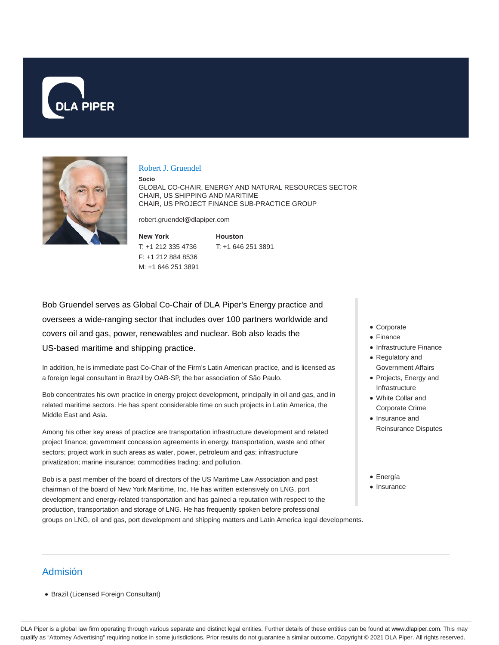



#### Robert J. Gruendel

**Socio**

GLOBAL CO-CHAIR, ENERGY AND NATURAL RESOURCES SECTOR CHAIR, US SHIPPING AND MARITIME CHAIR, US PROJECT FINANCE SUB-PRACTICE GROUP

robert.gruendel@dlapiper.com

**New York** T: +1 212 335 4736 F: +1 212 884 8536 M: +1 646 251 3891

**Houston** T: +1 646 251 3891

Bob Gruendel serves as Global Co-Chair of DLA Piper's Energy practice and oversees a wide-ranging sector that includes over 100 partners worldwide and covers oil and gas, power, renewables and nuclear. Bob also leads the US-based maritime and shipping practice.

In addition, he is immediate past Co-Chair of the Firm's Latin American practice, and is licensed as a foreign legal consultant in Brazil by OAB-SP, the bar association of São Paulo.

Bob concentrates his own practice in energy project development, principally in oil and gas, and in related maritime sectors. He has spent considerable time on such projects in Latin America, the Middle East and Asia.

Among his other key areas of practice are transportation infrastructure development and related project finance; government concession agreements in energy, transportation, waste and other sectors; project work in such areas as water, power, petroleum and gas; infrastructure privatization; marine insurance; commodities trading; and pollution.

Bob is a past member of the board of directors of the US Maritime Law Association and past chairman of the board of New York Maritime, Inc. He has written extensively on LNG, port development and energy-related transportation and has gained a reputation with respect to the production, transportation and storage of LNG. He has frequently spoken before professional groups on LNG, oil and gas, port development and shipping matters and Latin America legal developments.

- Corporate
- Finance
- Infrastructure Finance
- Regulatory and Government Affairs
- Projects, Energy and Infrastructure
- White Collar and Corporate Crime
- Insurance and Reinsurance Disputes
- Energía
- Insurance

# Admisión

Brazil (Licensed Foreign Consultant)

DLA Piper is a global law firm operating through various separate and distinct legal entities. Further details of these entities can be found at www.dlapiper.com. This may qualify as "Attorney Advertising" requiring notice in some jurisdictions. Prior results do not guarantee a similar outcome. Copyright © 2021 DLA Piper. All rights reserved.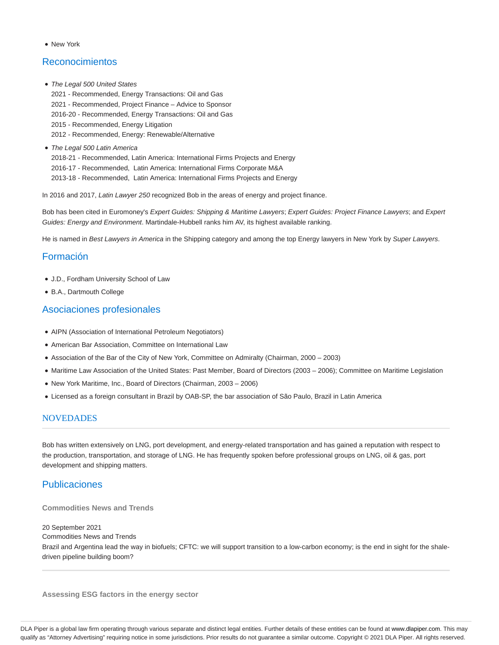New York

# Reconocimientos

• The Legal 500 United States

2021 - Recommended, Energy Transactions: Oil and Gas 2021 - Recommended, Project Finance – Advice to Sponsor 2016-20 - Recommended, Energy Transactions: Oil and Gas 2015 - Recommended, Energy Litigation 2012 - Recommended, Energy: Renewable/Alternative

The Legal 500 Latin America

2018-21 - Recommended, Latin America: International Firms Projects and Energy 2016-17 - Recommended, Latin America: International Firms Corporate M&A 2013-18 - Recommended, Latin America: International Firms Projects and Energy

In 2016 and 2017, Latin Lawyer 250 recognized Bob in the areas of energy and project finance.

Bob has been cited in Euromoney's Expert Guides: Shipping & Maritime Lawyers; Expert Guides: Project Finance Lawyers; and Expert Guides: Energy and Environment. Martindale-Hubbell ranks him AV, its highest available ranking.

He is named in Best Lawyers in America in the Shipping category and among the top Energy lawyers in New York by Super Lawyers.

## Formación

- J.D., Fordham University School of Law
- B.A., Dartmouth College

## Asociaciones profesionales

- AIPN (Association of International Petroleum Negotiators)
- American Bar Association, Committee on International Law
- Association of the Bar of the City of New York, Committee on Admiralty (Chairman, 2000 2003)
- Maritime Law Association of the United States: Past Member, Board of Directors (2003 2006); Committee on Maritime Legislation
- New York Maritime, Inc., Board of Directors (Chairman, 2003 2006)
- Licensed as a foreign consultant in Brazil by OAB-SP, the bar association of São Paulo, Brazil in Latin America

#### **NOVEDADES**

Bob has written extensively on LNG, port development, and energy-related transportation and has gained a reputation with respect to the production, transportation, and storage of LNG. He has frequently spoken before professional groups on LNG, oil & gas, port development and shipping matters.

# Publicaciones

**Commodities News and Trends**

20 September 2021 Commodities News and Trends Brazil and Argentina lead the way in biofuels; CFTC: we will support transition to a low-carbon economy; is the end in sight for the shaledriven pipeline building boom?

**Assessing ESG factors in the energy sector**

DLA Piper is a global law firm operating through various separate and distinct legal entities. Further details of these entities can be found at www.dlapiper.com. This may qualify as "Attorney Advertising" requiring notice in some jurisdictions. Prior results do not guarantee a similar outcome. Copyright © 2021 DLA Piper. All rights reserved.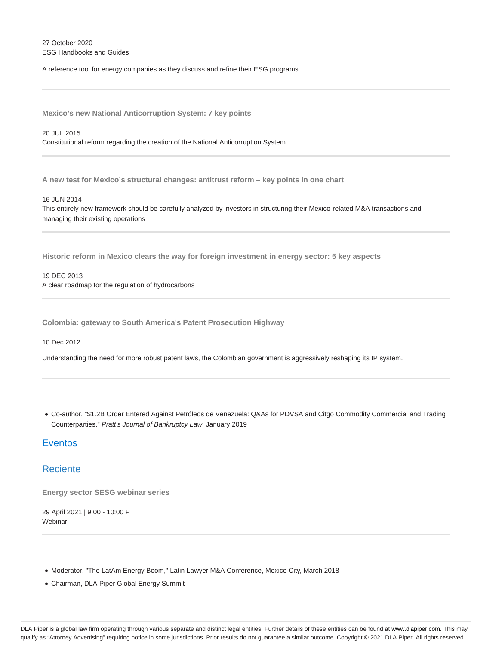27 October 2020 ESG Handbooks and Guides

A reference tool for energy companies as they discuss and refine their ESG programs.

**Mexico's new National Anticorruption System: 7 key points**

20 JUL 2015 Constitutional reform regarding the creation of the National Anticorruption System

**A new test for Mexico's structural changes: antitrust reform – key points in one chart**

16 JUN 2014

This entirely new framework should be carefully analyzed by investors in structuring their Mexico-related M&A transactions and managing their existing operations

**Historic reform in Mexico clears the way for foreign investment in energy sector: 5 key aspects**

19 DEC 2013 A clear roadmap for the regulation of hydrocarbons

**Colombia: gateway to South America's Patent Prosecution Highway**

10 Dec 2012

Understanding the need for more robust patent laws, the Colombian government is aggressively reshaping its IP system.

Co-author, "\$1.2B Order Entered Against Petróleos de Venezuela: Q&As for PDVSA and Citgo Commodity Commercial and Trading Counterparties," Pratt's Journal of Bankruptcy Law, January 2019

# Eventos

#### **Reciente**

**Energy sector SESG webinar series**

29 April 2021 | 9:00 - 10:00 PT **Webinar** 

- $\bullet$  Moderator, "The LatAm Energy Boom," Latin Lawyer M&A Conference, Mexico City, March 2018
- Chairman, DLA Piper Global Energy Summit

DLA Piper is a global law firm operating through various separate and distinct legal entities. Further details of these entities can be found at www.dlapiper.com. This may qualify as "Attorney Advertising" requiring notice in some jurisdictions. Prior results do not guarantee a similar outcome. Copyright @ 2021 DLA Piper. All rights reserved.